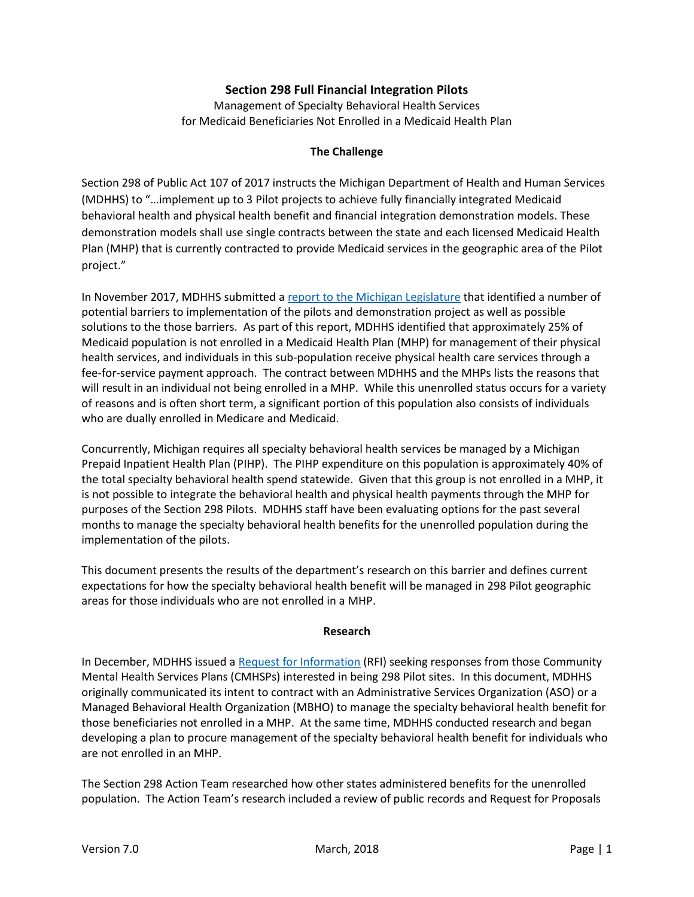# **Section 298 Full Financial Integration Pilots**

Management of Specialty Behavioral Health Services for Medicaid Beneficiaries Not Enrolled in a Medicaid Health Plan

#### **The Challenge**

Section 298 of Public Act 107 of 2017 instructs the Michigan Department of Health and Human Services (MDHHS) to "…implement up to 3 Pilot projects to achieve fully financially integrated Medicaid behavioral health and physical health benefit and financial integration demonstration models. These demonstration models shall use single contracts between the state and each licensed Medicaid Health Plan (MHP) that is currently contracted to provide Medicaid services in the geographic area of the Pilot project."

In November 2017, MDHHS submitted [a report to the Michigan Legislature](http://www.michigan.gov/documents/mdhhs/Barrier_implementation_606435_7.pdf) that identified a number of potential barriers to implementation of the pilots and demonstration project as well as possible solutions to the those barriers. As part of this report, MDHHS identified that approximately 25% of Medicaid population is not enrolled in a Medicaid Health Plan (MHP) for management of their physical health services, and individuals in this sub-population receive physical health care services through a fee-for-service payment approach. The contract between MDHHS and the MHPs lists the reasons that will result in an individual not being enrolled in a MHP. While this unenrolled status occurs for a variety of reasons and is often short term, a significant portion of this population also consists of individuals who are dually enrolled in Medicare and Medicaid.

Concurrently, Michigan requires all specialty behavioral health services be managed by a Michigan Prepaid Inpatient Health Plan (PIHP). The PIHP expenditure on this population is approximately 40% of the total specialty behavioral health spend statewide. Given that this group is not enrolled in a MHP, it is not possible to integrate the behavioral health and physical health payments through the MHP for purposes of the Section 298 Pilots. MDHHS staff have been evaluating options for the past several months to manage the specialty behavioral health benefits for the unenrolled population during the implementation of the pilots.

This document presents the results of the department's research on this barrier and defines current expectations for how the specialty behavioral health benefit will be managed in 298 Pilot geographic areas for those individuals who are not enrolled in a MHP.

#### **Research**

In December, MDHHS issued a [Request for Information](http://www.michigan.gov/documents/mdhhs/Updated_RFI_298_Pilots_-_Medicaid_PH-BH_Financial_Integration_613438_7.pdf) (RFI) seeking responses from those Community Mental Health Services Plans (CMHSPs) interested in being 298 Pilot sites. In this document, MDHHS originally communicated its intent to contract with an Administrative Services Organization (ASO) or a Managed Behavioral Health Organization (MBHO) to manage the specialty behavioral health benefit for those beneficiaries not enrolled in a MHP. At the same time, MDHHS conducted research and began developing a plan to procure management of the specialty behavioral health benefit for individuals who are not enrolled in an MHP.

The Section 298 Action Team researched how other states administered benefits for the unenrolled population. The Action Team's research included a review of public records and Request for Proposals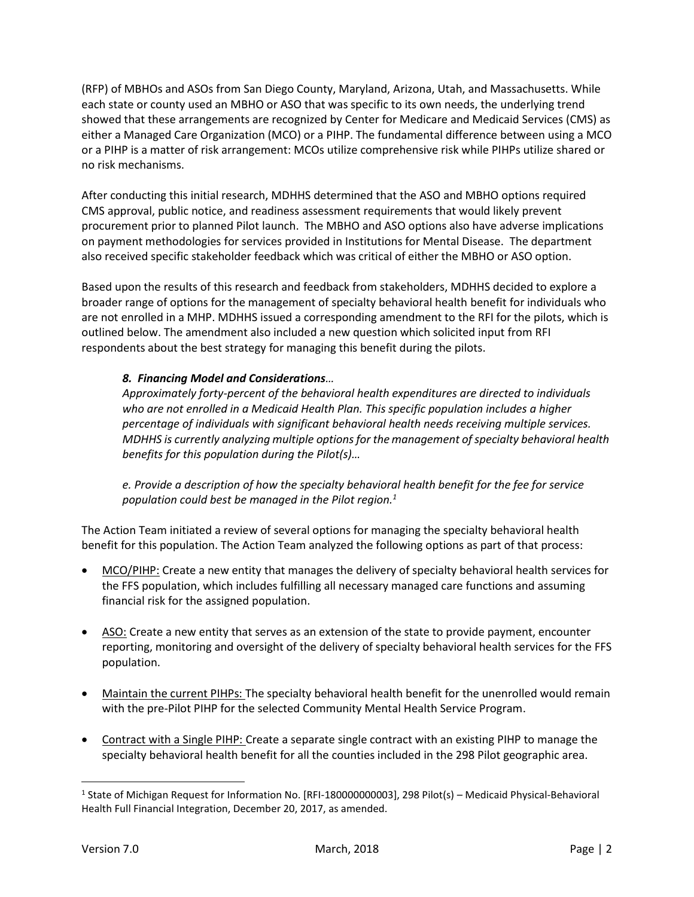(RFP) of MBHOs and ASOs from San Diego County, Maryland, Arizona, Utah, and Massachusetts. While each state or county used an MBHO or ASO that was specific to its own needs, the underlying trend showed that these arrangements are recognized by Center for Medicare and Medicaid Services (CMS) as either a Managed Care Organization (MCO) or a PIHP. The fundamental difference between using a MCO or a PIHP is a matter of risk arrangement: MCOs utilize comprehensive risk while PIHPs utilize shared or no risk mechanisms.

After conducting this initial research, MDHHS determined that the ASO and MBHO options required CMS approval, public notice, and readiness assessment requirements that would likely prevent procurement prior to planned Pilot launch. The MBHO and ASO options also have adverse implications on payment methodologies for services provided in Institutions for Mental Disease. The department also received specific stakeholder feedback which was critical of either the MBHO or ASO option.

Based upon the results of this research and feedback from stakeholders, MDHHS decided to explore a broader range of options for the management of specialty behavioral health benefit for individuals who are not enrolled in a MHP. MDHHS issued a corresponding amendment to the RFI for the pilots, which is outlined below. The amendment also included a new question which solicited input from RFI respondents about the best strategy for managing this benefit during the pilots.

# *8. Financing Model and Considerations…*

*Approximately forty-percent of the behavioral health expenditures are directed to individuals who are not enrolled in a Medicaid Health Plan. This specific population includes a higher percentage of individuals with significant behavioral health needs receiving multiple services. MDHHS is currently analyzing multiple optionsfor the management ofspecialty behavioral health benefits for this population during the Pilot(s)…*

*e. Provide a description of how the specialty behavioral health benefit for the fee for service population could best be managed in the Pilot region.<sup>1</sup>*

The Action Team initiated a review of several options for managing the specialty behavioral health benefit for this population. The Action Team analyzed the following options as part of that process:

- MCO/PIHP: Create a new entity that manages the delivery of specialty behavioral health services for the FFS population, which includes fulfilling all necessary managed care functions and assuming financial risk for the assigned population.
- ASO: Create a new entity that serves as an extension of the state to provide payment, encounter reporting, monitoring and oversight of the delivery of specialty behavioral health services for the FFS population.
- Maintain the current PIHPs: The specialty behavioral health benefit for the unenrolled would remain with the pre-Pilot PIHP for the selected Community Mental Health Service Program.
- Contract with a Single PIHP: Create a separate single contract with an existing PIHP to manage the specialty behavioral health benefit for all the counties included in the 298 Pilot geographic area.

l

<sup>&</sup>lt;sup>1</sup> State of Michigan Request for Information No. [RFI-180000000003], 298 Pilot(s) – Medicaid Physical-Behavioral Health Full Financial Integration, December 20, 2017, as amended.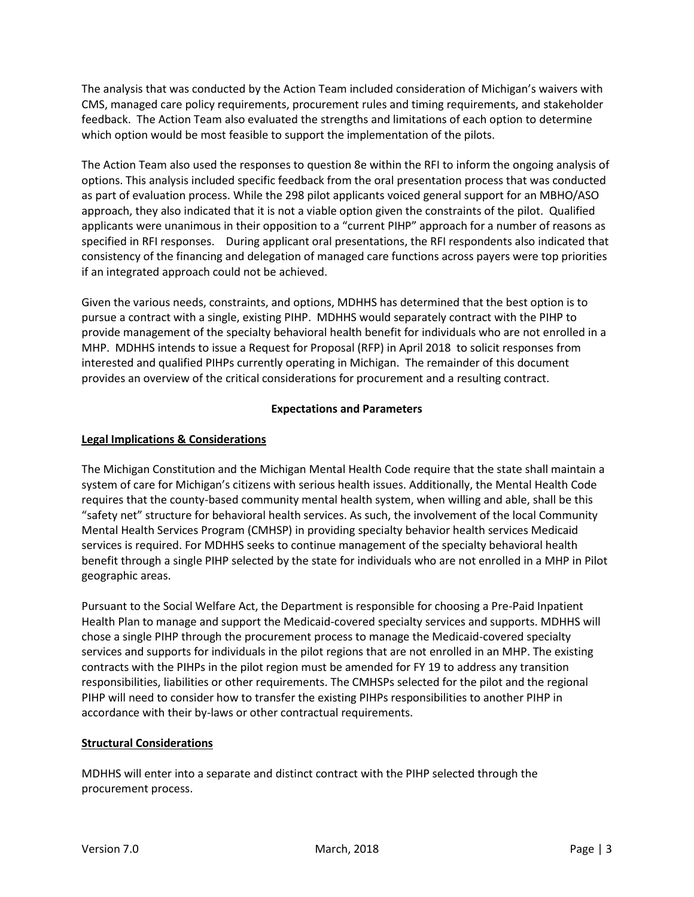The analysis that was conducted by the Action Team included consideration of Michigan's waivers with CMS, managed care policy requirements, procurement rules and timing requirements, and stakeholder feedback. The Action Team also evaluated the strengths and limitations of each option to determine which option would be most feasible to support the implementation of the pilots.

The Action Team also used the responses to question 8e within the RFI to inform the ongoing analysis of options. This analysis included specific feedback from the oral presentation process that was conducted as part of evaluation process. While the 298 pilot applicants voiced general support for an MBHO/ASO approach, they also indicated that it is not a viable option given the constraints of the pilot. Qualified applicants were unanimous in their opposition to a "current PIHP" approach for a number of reasons as specified in RFI responses. During applicant oral presentations, the RFI respondents also indicated that consistency of the financing and delegation of managed care functions across payers were top priorities if an integrated approach could not be achieved.

Given the various needs, constraints, and options, MDHHS has determined that the best option is to pursue a contract with a single, existing PIHP. MDHHS would separately contract with the PIHP to provide management of the specialty behavioral health benefit for individuals who are not enrolled in a MHP. MDHHS intends to issue a Request for Proposal (RFP) in April 2018 to solicit responses from interested and qualified PIHPs currently operating in Michigan. The remainder of this document provides an overview of the critical considerations for procurement and a resulting contract.

### **Expectations and Parameters**

# **Legal Implications & Considerations**

The Michigan Constitution and the Michigan Mental Health Code require that the state shall maintain a system of care for Michigan's citizens with serious health issues. Additionally, the Mental Health Code requires that the county-based community mental health system, when willing and able, shall be this "safety net" structure for behavioral health services. As such, the involvement of the local Community Mental Health Services Program (CMHSP) in providing specialty behavior health services Medicaid services is required. For MDHHS seeks to continue management of the specialty behavioral health benefit through a single PIHP selected by the state for individuals who are not enrolled in a MHP in Pilot geographic areas.

Pursuant to the Social Welfare Act, the Department is responsible for choosing a Pre-Paid Inpatient Health Plan to manage and support the Medicaid-covered specialty services and supports. MDHHS will chose a single PIHP through the procurement process to manage the Medicaid-covered specialty services and supports for individuals in the pilot regions that are not enrolled in an MHP. The existing contracts with the PIHPs in the pilot region must be amended for FY 19 to address any transition responsibilities, liabilities or other requirements. The CMHSPs selected for the pilot and the regional PIHP will need to consider how to transfer the existing PIHPs responsibilities to another PIHP in accordance with their by-laws or other contractual requirements.

### **Structural Considerations**

MDHHS will enter into a separate and distinct contract with the PIHP selected through the procurement process.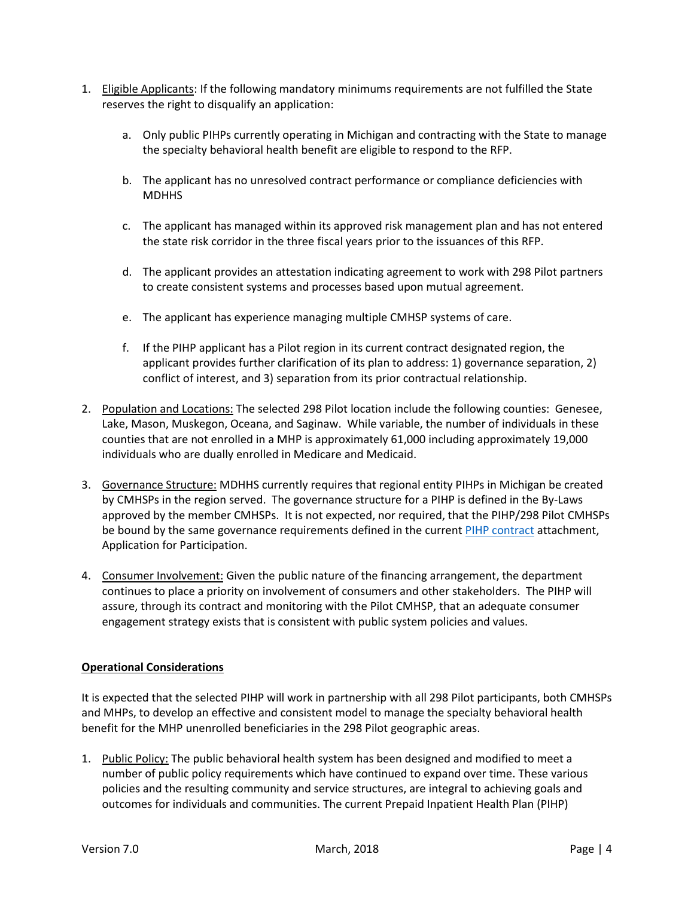- 1. Eligible Applicants: If the following mandatory minimums requirements are not fulfilled the State reserves the right to disqualify an application:
	- a. Only public PIHPs currently operating in Michigan and contracting with the State to manage the specialty behavioral health benefit are eligible to respond to the RFP.
	- b. The applicant has no unresolved contract performance or compliance deficiencies with **MDHHS**
	- c. The applicant has managed within its approved risk management plan and has not entered the state risk corridor in the three fiscal years prior to the issuances of this RFP.
	- d. The applicant provides an attestation indicating agreement to work with 298 Pilot partners to create consistent systems and processes based upon mutual agreement.
	- e. The applicant has experience managing multiple CMHSP systems of care.
	- f. If the PIHP applicant has a Pilot region in its current contract designated region, the applicant provides further clarification of its plan to address: 1) governance separation, 2) conflict of interest, and 3) separation from its prior contractual relationship.
- 2. Population and Locations: The selected 298 Pilot location include the following counties: Genesee, Lake, Mason, Muskegon, Oceana, and Saginaw. While variable, the number of individuals in these counties that are not enrolled in a MHP is approximately 61,000 including approximately 19,000 individuals who are dually enrolled in Medicare and Medicaid.
- 3. Governance Structure: MDHHS currently requires that regional entity PIHPs in Michigan be created by CMHSPs in the region served. The governance structure for a PIHP is defined in the By-Laws approved by the member CMHSPs. It is not expected, nor required, that the PIHP/298 Pilot CMHSPs be bound by the same governance requirements defined in the curren[t PIHP contract](http://www.michigan.gov/documents/mdch/FY09-10MAContractwithallattachments_312218_7.pdf) attachment, Application for Participation.
- 4. Consumer Involvement: Given the public nature of the financing arrangement, the department continues to place a priority on involvement of consumers and other stakeholders. The PIHP will assure, through its contract and monitoring with the Pilot CMHSP, that an adequate consumer engagement strategy exists that is consistent with public system policies and values.

### **Operational Considerations**

It is expected that the selected PIHP will work in partnership with all 298 Pilot participants, both CMHSPs and MHPs, to develop an effective and consistent model to manage the specialty behavioral health benefit for the MHP unenrolled beneficiaries in the 298 Pilot geographic areas.

1. Public Policy: The public behavioral health system has been designed and modified to meet a number of public policy requirements which have continued to expand over time. These various policies and the resulting community and service structures, are integral to achieving goals and outcomes for individuals and communities. The current Prepaid Inpatient Health Plan (PIHP)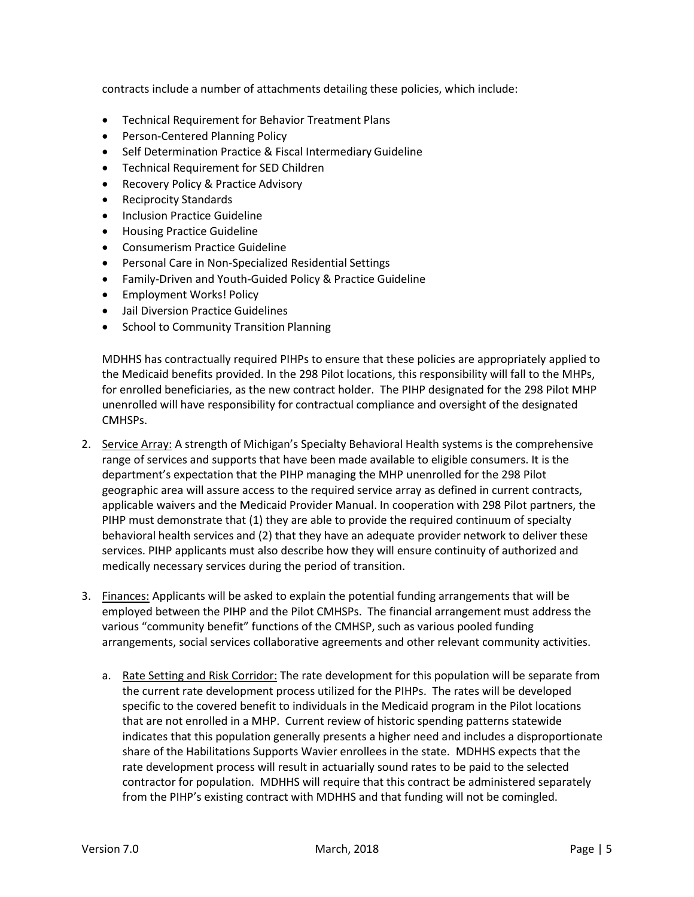contracts include a number of attachments detailing these policies, which include:

- Technical Requirement for Behavior Treatment Plans
- Person-Centered Planning Policy
- Self Determination Practice & Fiscal Intermediary Guideline
- Technical Requirement for SED Children
- Recovery Policy & Practice Advisory
- Reciprocity Standards
- Inclusion Practice Guideline
- **•** Housing Practice Guideline
- Consumerism Practice Guideline
- Personal Care in Non-Specialized Residential Settings
- Family-Driven and Youth-Guided Policy & Practice Guideline
- Employment Works! Policy
- Jail Diversion Practice Guidelines
- School to Community Transition Planning

MDHHS has contractually required PIHPs to ensure that these policies are appropriately applied to the Medicaid benefits provided. In the 298 Pilot locations, this responsibility will fall to the MHPs, for enrolled beneficiaries, as the new contract holder. The PIHP designated for the 298 Pilot MHP unenrolled will have responsibility for contractual compliance and oversight of the designated CMHSPs.

- 2. Service Array: A strength of Michigan's Specialty Behavioral Health systems is the comprehensive range of services and supports that have been made available to eligible consumers. It is the department's expectation that the PIHP managing the MHP unenrolled for the 298 Pilot geographic area will assure access to the required service array as defined in current contracts, applicable waivers and the Medicaid Provider Manual. In cooperation with 298 Pilot partners, the PIHP must demonstrate that (1) they are able to provide the required continuum of specialty behavioral health services and (2) that they have an adequate provider network to deliver these services. PIHP applicants must also describe how they will ensure continuity of authorized and medically necessary services during the period of transition.
- 3. Finances: Applicants will be asked to explain the potential funding arrangements that will be employed between the PIHP and the Pilot CMHSPs. The financial arrangement must address the various "community benefit" functions of the CMHSP, such as various pooled funding arrangements, social services collaborative agreements and other relevant community activities.
	- a. Rate Setting and Risk Corridor: The rate development for this population will be separate from the current rate development process utilized for the PIHPs. The rates will be developed specific to the covered benefit to individuals in the Medicaid program in the Pilot locations that are not enrolled in a MHP. Current review of historic spending patterns statewide indicates that this population generally presents a higher need and includes a disproportionate share of the Habilitations Supports Wavier enrollees in the state. MDHHS expects that the rate development process will result in actuarially sound rates to be paid to the selected contractor for population. MDHHS will require that this contract be administered separately from the PIHP's existing contract with MDHHS and that funding will not be comingled.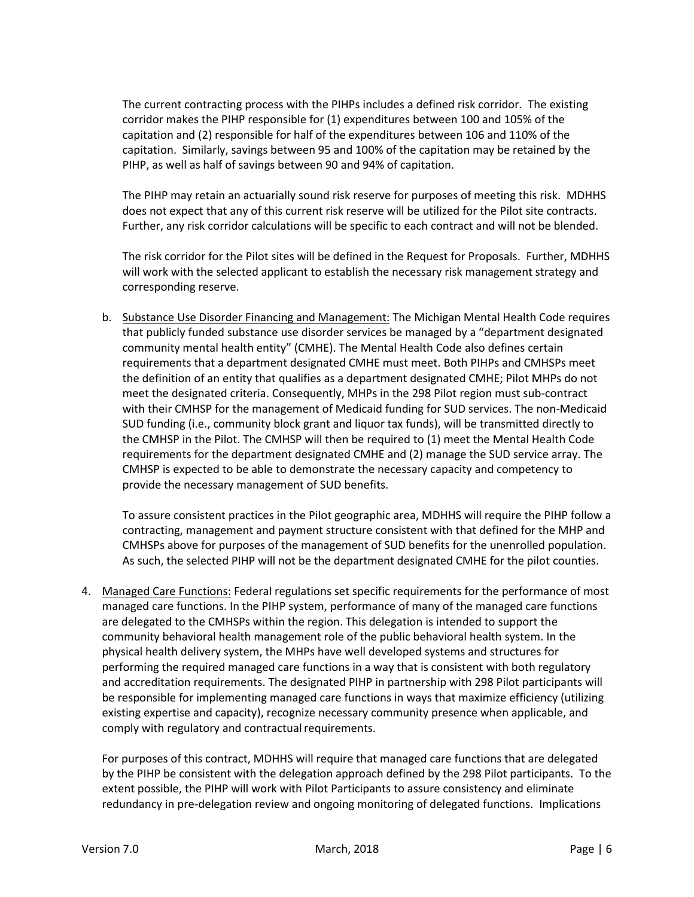The current contracting process with the PIHPs includes a defined risk corridor. The existing corridor makes the PIHP responsible for (1) expenditures between 100 and 105% of the capitation and (2) responsible for half of the expenditures between 106 and 110% of the capitation. Similarly, savings between 95 and 100% of the capitation may be retained by the PIHP, as well as half of savings between 90 and 94% of capitation.

The PIHP may retain an actuarially sound risk reserve for purposes of meeting this risk. MDHHS does not expect that any of this current risk reserve will be utilized for the Pilot site contracts. Further, any risk corridor calculations will be specific to each contract and will not be blended.

The risk corridor for the Pilot sites will be defined in the Request for Proposals. Further, MDHHS will work with the selected applicant to establish the necessary risk management strategy and corresponding reserve.

b. Substance Use Disorder Financing and Management: The Michigan Mental Health Code requires that publicly funded substance use disorder services be managed by a "department designated community mental health entity" (CMHE). The Mental Health Code also defines certain requirements that a department designated CMHE must meet. Both PIHPs and CMHSPs meet the definition of an entity that qualifies as a department designated CMHE; Pilot MHPs do not meet the designated criteria. Consequently, MHPs in the 298 Pilot region must sub-contract with their CMHSP for the management of Medicaid funding for SUD services. The non-Medicaid SUD funding (i.e., community block grant and liquor tax funds), will be transmitted directly to the CMHSP in the Pilot. The CMHSP will then be required to (1) meet the Mental Health Code requirements for the department designated CMHE and (2) manage the SUD service array. The CMHSP is expected to be able to demonstrate the necessary capacity and competency to provide the necessary management of SUD benefits.

To assure consistent practices in the Pilot geographic area, MDHHS will require the PIHP follow a contracting, management and payment structure consistent with that defined for the MHP and CMHSPs above for purposes of the management of SUD benefits for the unenrolled population. As such, the selected PIHP will not be the department designated CMHE for the pilot counties.

4. Managed Care Functions: Federal regulations set specific requirements for the performance of most managed care functions. In the PIHP system, performance of many of the managed care functions are delegated to the CMHSPs within the region. This delegation is intended to support the community behavioral health management role of the public behavioral health system. In the physical health delivery system, the MHPs have well developed systems and structures for performing the required managed care functions in a way that is consistent with both regulatory and accreditation requirements. The designated PIHP in partnership with 298 Pilot participants will be responsible for implementing managed care functions in ways that maximize efficiency (utilizing existing expertise and capacity), recognize necessary community presence when applicable, and comply with regulatory and contractual requirements.

For purposes of this contract, MDHHS will require that managed care functions that are delegated by the PIHP be consistent with the delegation approach defined by the 298 Pilot participants. To the extent possible, the PIHP will work with Pilot Participants to assure consistency and eliminate redundancy in pre-delegation review and ongoing monitoring of delegated functions. Implications